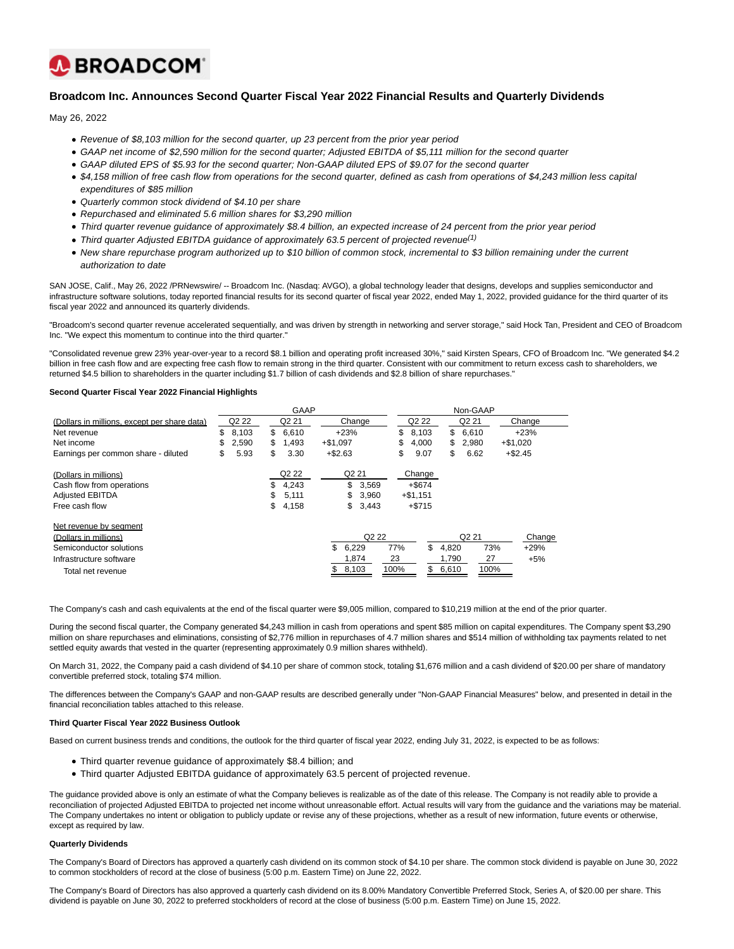

# **Broadcom Inc. Announces Second Quarter Fiscal Year 2022 Financial Results and Quarterly Dividends**

May 26, 2022

- Revenue of \$8,103 million for the second quarter, up 23 percent from the prior year period
- GAAP net income of \$2,590 million for the second quarter; Adjusted EBITDA of \$5,111 million for the second quarter
- GAAP diluted EPS of \$5.93 for the second quarter; Non-GAAP diluted EPS of \$9.07 for the second quarter
- \$4,158 million of free cash flow from operations for the second quarter, defined as cash from operations of \$4,243 million less capital expenditures of \$85 million
- Quarterly common stock dividend of \$4.10 per share
- Repurchased and eliminated 5.6 million shares for \$3,290 million
- Third quarter revenue guidance of approximately \$8.4 billion, an expected increase of 24 percent from the prior year period
- Third quarter Adjusted EBITDA guidance of approximately 63.5 percent of projected revenue<sup>(1)</sup>
- New share repurchase program authorized up to \$10 billion of common stock, incremental to \$3 billion remaining under the current authorization to date

SAN JOSE, Calif., May 26, 2022 /PRNewswire/ -- Broadcom Inc. (Nasdaq: AVGO), a global technology leader that designs, develops and supplies semiconductor and infrastructure software solutions, today reported financial results for its second quarter of fiscal year 2022, ended May 1, 2022, provided guidance for the third quarter of its fiscal year 2022 and announced its quarterly dividends.

"Broadcom's second quarter revenue accelerated sequentially, and was driven by strength in networking and server storage," said Hock Tan, President and CEO of Broadcom Inc. "We expect this momentum to continue into the third quarter."

"Consolidated revenue grew 23% year-over-year to a record \$8.1 billion and operating profit increased 30%," said Kirsten Spears, CFO of Broadcom Inc. "We generated \$4.2 billion in free cash flow and are expecting free cash flow to remain strong in the third quarter. Consistent with our commitment to return excess cash to shareholders, we returned \$4.5 billion to shareholders in the quarter including \$1.7 billion of cash dividends and \$2.8 billion of share repurchases."

## **Second Quarter Fiscal Year 2022 Financial Highlights**

|                                              | GAAP |                               |    |                               |                               |      |                               | Non-GAAP |                   |            |         |        |  |  |  |  |
|----------------------------------------------|------|-------------------------------|----|-------------------------------|-------------------------------|------|-------------------------------|----------|-------------------|------------|---------|--------|--|--|--|--|
| (Dollars in millions, except per share data) |      | Q <sub>2</sub> 2 <sub>2</sub> |    | Q <sub>2</sub> 21             | Change                        |      | Q <sub>2</sub> 2 <sub>2</sub> |          | Q <sub>2</sub> 21 | Change     |         |        |  |  |  |  |
| Net revenue                                  | \$   | 8.103                         |    | \$6,610                       | $+23%$                        | \$   | 8,103                         |          |                   |            | \$6,610 | $+23%$ |  |  |  |  |
| Net income                                   | S    | 2,590                         | \$ | 1,493                         | $+ $1,097$                    | \$   | 4,000                         | \$       | 2,980             | $+ $1,020$ |         |        |  |  |  |  |
| Earnings per common share - diluted          | \$   | 5.93                          | \$ | 3.30                          | $+ $2.63$                     | \$   | 9.07                          | \$       | 6.62              | $+ $2.45$  |         |        |  |  |  |  |
| (Dollars in millions)                        |      |                               |    | Q <sub>2</sub> 2 <sub>2</sub> | Q <sub>2</sub> 21             |      | Change                        |          |                   |            |         |        |  |  |  |  |
| Cash flow from operations                    |      |                               | \$ | 4,243                         | \$<br>3,569                   |      | $+$ \$674                     |          |                   |            |         |        |  |  |  |  |
| <b>Adjusted EBITDA</b>                       |      |                               | \$ | 5,111                         | \$<br>3.960                   |      | $+ $1,151$                    |          |                   |            |         |        |  |  |  |  |
| Free cash flow                               |      |                               | \$ | 4,158                         | \$<br>3.443                   |      | $+ $715$                      |          |                   |            |         |        |  |  |  |  |
| Net revenue by segment                       |      |                               |    |                               |                               |      |                               |          |                   |            |         |        |  |  |  |  |
| (Dollars in millions)                        |      |                               |    |                               | Q <sub>2</sub> 2 <sub>2</sub> |      |                               |          | Q <sub>2</sub> 21 | Change     |         |        |  |  |  |  |
| Semiconductor solutions                      |      |                               |    |                               | \$<br>6.229                   | 77%  | \$                            | 4.820    | 73%               | $+29%$     |         |        |  |  |  |  |
| Infrastructure software                      |      |                               |    |                               | 1,874                         | 23   |                               | 1.790    | 27                | $+5%$      |         |        |  |  |  |  |
| Total net revenue                            |      |                               |    |                               | \$.<br>8,103                  | 100% | \$                            | 6,610    | 100%              |            |         |        |  |  |  |  |

The Company's cash and cash equivalents at the end of the fiscal quarter were \$9,005 million, compared to \$10,219 million at the end of the prior quarter.

During the second fiscal quarter, the Company generated \$4,243 million in cash from operations and spent \$85 million on capital expenditures. The Company spent \$3,290 million on share repurchases and eliminations, consisting of \$2,776 million in repurchases of 4.7 million shares and \$514 million of withholding tax payments related to net settled equity awards that vested in the quarter (representing approximately 0.9 million shares withheld).

On March 31, 2022, the Company paid a cash dividend of \$4.10 per share of common stock, totaling \$1,676 million and a cash dividend of \$20.00 per share of mandatory convertible preferred stock, totaling \$74 million.

The differences between the Company's GAAP and non-GAAP results are described generally under "Non-GAAP Financial Measures" below, and presented in detail in the financial reconciliation tables attached to this release.

#### **Third Quarter Fiscal Year 2022 Business Outlook**

Based on current business trends and conditions, the outlook for the third quarter of fiscal year 2022, ending July 31, 2022, is expected to be as follows:

- Third quarter revenue guidance of approximately \$8.4 billion; and
- Third quarter Adjusted EBITDA guidance of approximately 63.5 percent of projected revenue.

The guidance provided above is only an estimate of what the Company believes is realizable as of the date of this release. The Company is not readily able to provide a reconciliation of projected Adjusted EBITDA to projected net income without unreasonable effort. Actual results will vary from the guidance and the variations may be material. The Company undertakes no intent or obligation to publicly update or revise any of these projections, whether as a result of new information, future events or otherwise, except as required by law.

### **Quarterly Dividends**

The Company's Board of Directors has approved a quarterly cash dividend on its common stock of \$4.10 per share. The common stock dividend is payable on June 30, 2022 to common stockholders of record at the close of business (5:00 p.m. Eastern Time) on June 22, 2022.

The Company's Board of Directors has also approved a quarterly cash dividend on its 8.00% Mandatory Convertible Preferred Stock, Series A, of \$20.00 per share. This dividend is payable on June 30, 2022 to preferred stockholders of record at the close of business (5:00 p.m. Eastern Time) on June 15, 2022.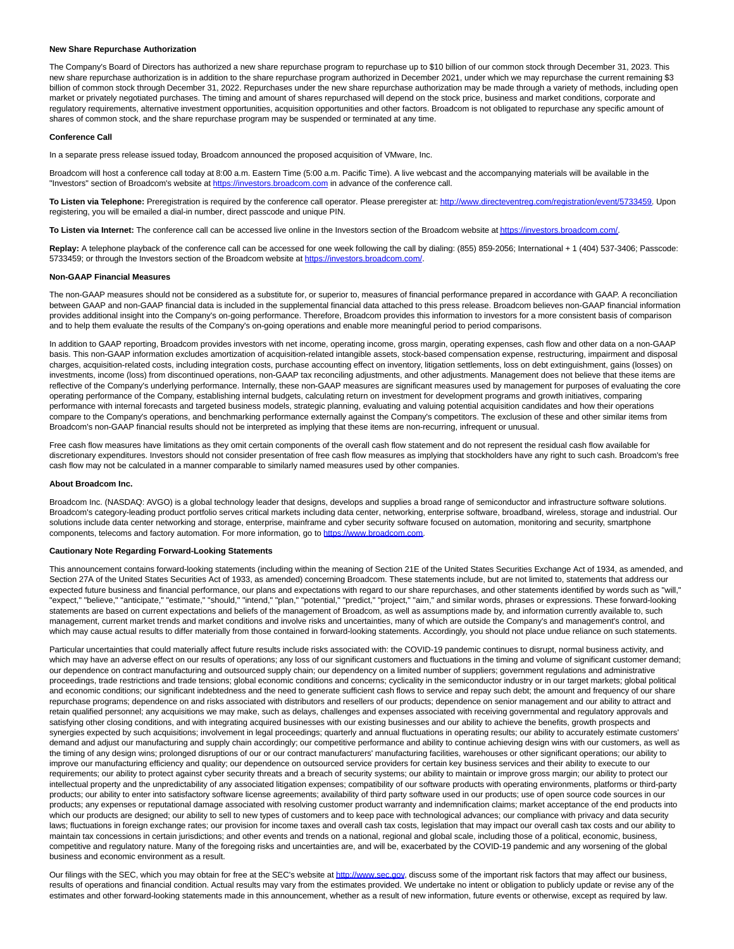#### **New Share Repurchase Authorization**

The Company's Board of Directors has authorized a new share repurchase program to repurchase up to \$10 billion of our common stock through December 31, 2023. This new share repurchase authorization is in addition to the share repurchase program authorized in December 2021, under which we may repurchase the current remaining \$3 billion of common stock through December 31, 2022. Repurchases under the new share repurchase authorization may be made through a variety of methods, including open market or privately negotiated purchases. The timing and amount of shares repurchased will depend on the stock price, business and market conditions, corporate and regulatory requirements, alternative investment opportunities, acquisition opportunities and other factors. Broadcom is not obligated to repurchase any specific amount of shares of common stock, and the share repurchase program may be suspended or terminated at any time.

# **Conference Call**

In a separate press release issued today, Broadcom announced the proposed acquisition of VMware, Inc.

Broadcom will host a conference call today at 8:00 a.m. Eastern Time (5:00 a.m. Pacific Time). A live webcast and the accompanying materials will be available in the "Investors" section of Broadcom's website at [https://investors.broadcom.com i](https://c212.net/c/link/?t=0&l=en&o=3548087-1&h=2057488078&u=https%3A%2F%2Finvestors.broadcom.com%2F&a=https%3A%2F%2Finvestors.broadcom.com)n advance of the conference call.

**To Listen via Telephone:** Preregistration is required by the conference call operator. Please preregister at: [http://www.directeventreg.com/registration/event/5733459.](https://c212.net/c/link/?t=0&l=en&o=3548087-1&h=2971297480&u=http%3A%2F%2Fwww.directeventreg.com%2Fregistration%2Fevent%2F5733459&a=http%3A%2F%2Fwww.directeventreg.com%2Fregistration%2Fevent%2F5733459) Upon registering, you will be emailed a dial-in number, direct passcode and unique PIN.

To Listen via Internet: The conference call can be accessed live online in the Investors section of the Broadcom website at https://investors.broadcom.com/.

**Replay:** A telephone playback of the conference call can be accessed for one week following the call by dialing: (855) 859-2056; International + 1 (404) 537-3406; Passcode: 5733459; or through the Investors section of the Broadcom website at [https://investors.broadcom.com/.](https://c212.net/c/link/?t=0&l=en&o=3548087-1&h=2789069156&u=https%3A%2F%2Finvestors.broadcom.com%2F&a=https%3A%2F%2Finvestors.broadcom.com%2F) 

## **Non-GAAP Financial Measures**

The non-GAAP measures should not be considered as a substitute for, or superior to, measures of financial performance prepared in accordance with GAAP. A reconciliation between GAAP and non-GAAP financial data is included in the supplemental financial data attached to this press release. Broadcom believes non-GAAP financial information provides additional insight into the Company's on-going performance. Therefore, Broadcom provides this information to investors for a more consistent basis of comparison and to help them evaluate the results of the Company's on-going operations and enable more meaningful period to period comparisons.

In addition to GAAP reporting, Broadcom provides investors with net income, operating income, gross margin, operating expenses, cash flow and other data on a non-GAAP basis. This non-GAAP information excludes amortization of acquisition-related intangible assets, stock-based compensation expense, restructuring, impairment and disposal charges, acquisition-related costs, including integration costs, purchase accounting effect on inventory, litigation settlements, loss on debt extinguishment, gains (losses) on investments, income (loss) from discontinued operations, non-GAAP tax reconciling adjustments, and other adjustments. Management does not believe that these items are reflective of the Company's underlying performance. Internally, these non-GAAP measures are significant measures used by management for purposes of evaluating the core operating performance of the Company, establishing internal budgets, calculating return on investment for development programs and growth initiatives, comparing performance with internal forecasts and targeted business models, strategic planning, evaluating and valuing potential acquisition candidates and how their operations compare to the Company's operations, and benchmarking performance externally against the Company's competitors. The exclusion of these and other similar items from Broadcom's non-GAAP financial results should not be interpreted as implying that these items are non-recurring, infrequent or unusual.

Free cash flow measures have limitations as they omit certain components of the overall cash flow statement and do not represent the residual cash flow available for discretionary expenditures. Investors should not consider presentation of free cash flow measures as implying that stockholders have any right to such cash. Broadcom's free cash flow may not be calculated in a manner comparable to similarly named measures used by other companies.

#### **About Broadcom Inc.**

Broadcom Inc. (NASDAQ: AVGO) is a global technology leader that designs, develops and supplies a broad range of semiconductor and infrastructure software solutions. Broadcom's category-leading product portfolio serves critical markets including data center, networking, enterprise software, broadband, wireless, storage and industrial. Our solutions include data center networking and storage, enterprise, mainframe and cyber security software focused on automation, monitoring and security, smartphone components, telecoms and factory automation. For more information, go t[o https://www.broadcom.com.](https://c212.net/c/link/?t=0&l=en&o=3548087-1&h=3871456969&u=https%3A%2F%2Fwww.broadcom.com%2F&a=https%3A%2F%2Fwww.broadcom.com)

### **Cautionary Note Regarding Forward-Looking Statements**

This announcement contains forward-looking statements (including within the meaning of Section 21E of the United States Securities Exchange Act of 1934, as amended, and Section 27A of the United States Securities Act of 1933, as amended) concerning Broadcom. These statements include, but are not limited to, statements that address our expected future business and financial performance, our plans and expectations with regard to our share repurchases, and other statements identified by words such as "will," "expect," "believe," "anticipate," "estimate," "should," "intend," "plan," "potential," "predict," "project," "aim," and similar words, phrases or expressions. These forward-looking statements are based on current expectations and beliefs of the management of Broadcom, as well as assumptions made by, and information currently available to, such management, current market trends and market conditions and involve risks and uncertainties, many of which are outside the Company's and management's control, and which may cause actual results to differ materially from those contained in forward-looking statements. Accordingly, you should not place undue reliance on such statements.

Particular uncertainties that could materially affect future results include risks associated with: the COVID-19 pandemic continues to disrupt, normal business activity, and which may have an adverse effect on our results of operations; any loss of our significant customers and fluctuations in the timing and volume of significant customer demand; our dependence on contract manufacturing and outsourced supply chain; our dependency on a limited number of suppliers; government regulations and administrative proceedings, trade restrictions and trade tensions; global economic conditions and concerns; cyclicality in the semiconductor industry or in our target markets; global political and economic conditions; our significant indebtedness and the need to generate sufficient cash flows to service and repay such debt; the amount and frequency of our share repurchase programs; dependence on and risks associated with distributors and resellers of our products; dependence on senior management and our ability to attract and retain qualified personnel; any acquisitions we may make, such as delays, challenges and expenses associated with receiving governmental and regulatory approvals and satisfying other closing conditions, and with integrating acquired businesses with our existing businesses and our ability to achieve the benefits, growth prospects and synergies expected by such acquisitions; involvement in legal proceedings; quarterly and annual fluctuations in operating results; our ability to accurately estimate customers' demand and adjust our manufacturing and supply chain accordingly; our competitive performance and ability to continue achieving design wins with our customers, as well as the timing of any design wins; prolonged disruptions of our or our contract manufacturers' manufacturing facilities, warehouses or other significant operations; our ability to improve our manufacturing efficiency and quality; our dependence on outsourced service providers for certain key business services and their ability to execute to our requirements; our ability to protect against cyber security threats and a breach of security systems; our ability to maintain or improve gross margin; our ability to protect our intellectual property and the unpredictability of any associated litigation expenses; compatibility of our software products with operating environments, platforms or third-party products; our ability to enter into satisfactory software license agreements; availability of third party software used in our products; use of open source code sources in our products; any expenses or reputational damage associated with resolving customer product warranty and indemnification claims; market acceptance of the end products into which our products are designed; our ability to sell to new types of customers and to keep pace with technological advances; our compliance with privacy and data security laws; fluctuations in foreign exchange rates; our provision for income taxes and overall cash tax costs, legislation that may impact our overall cash tax costs and our ability to maintain tax concessions in certain jurisdictions; and other events and trends on a national, regional and global scale, including those of a political, economic, business, competitive and regulatory nature. Many of the foregoing risks and uncertainties are, and will be, exacerbated by the COVID-19 pandemic and any worsening of the global business and economic environment as a result.

Our filings with the SEC, which you may obtain for free at the SEC's website at [http://www.sec.gov,](https://c212.net/c/link/?t=0&l=en&o=3548087-1&h=1702648624&u=http%3A%2F%2Fwww.sec.gov&a=http%3A%2F%2Fwww.sec.gov) discuss some of the important risk factors that may affect our business, results of operations and financial condition. Actual results may vary from the estimates provided. We undertake no intent or obligation to publicly update or revise any of the estimates and other forward-looking statements made in this announcement, whether as a result of new information, future events or otherwise, except as required by law.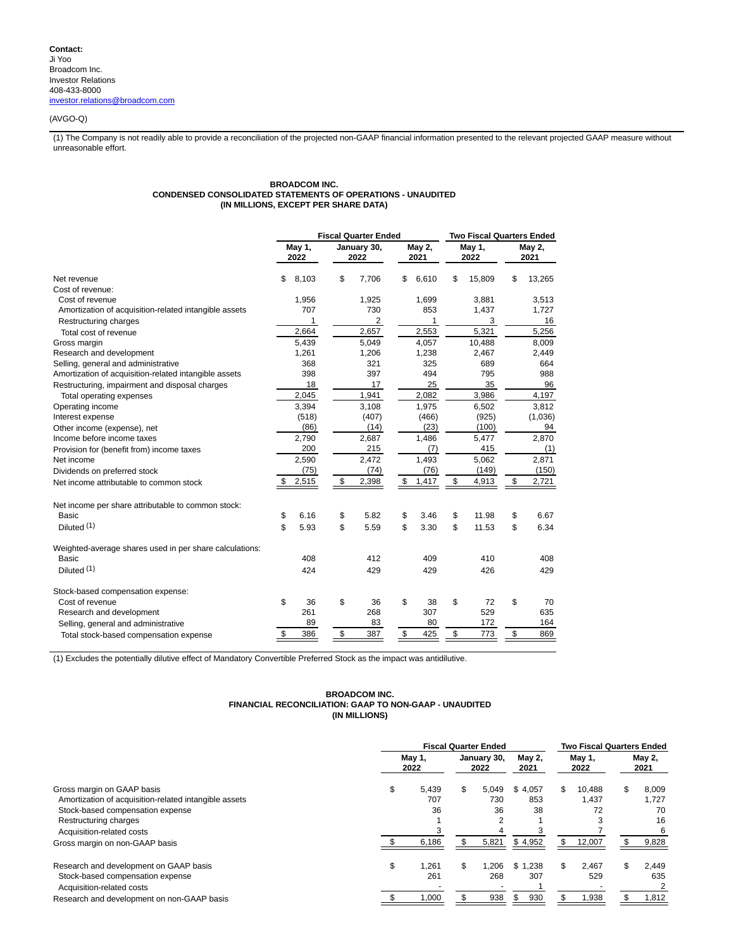# (AVGO-Q)

(1) The Company is not readily able to provide a reconciliation of the projected non-GAAP financial information presented to the relevant projected GAAP measure without unreasonable effort.

# **BROADCOM INC. CONDENSED CONSOLIDATED STATEMENTS OF OPERATIONS - UNAUDITED (IN MILLIONS, EXCEPT PER SHARE DATA)**

|                                                         | <b>Fiscal Quarter Ended</b> |                |    |                     |    |                | <b>Two Fiscal Quarters Ended</b> |                |                |         |  |  |  |
|---------------------------------------------------------|-----------------------------|----------------|----|---------------------|----|----------------|----------------------------------|----------------|----------------|---------|--|--|--|
|                                                         |                             | May 1,<br>2022 |    | January 30,<br>2022 |    | May 2,<br>2021 |                                  | May 1,<br>2022 | May 2,<br>2021 |         |  |  |  |
| Net revenue                                             | \$                          | 8,103          | \$ | 7,706               | \$ | 6,610          | \$                               | 15,809         | \$             | 13,265  |  |  |  |
| Cost of revenue:                                        |                             |                |    |                     |    |                |                                  |                |                |         |  |  |  |
| Cost of revenue                                         |                             | 1,956          |    | 1,925               |    | 1,699          |                                  | 3,881          |                | 3,513   |  |  |  |
| Amortization of acquisition-related intangible assets   |                             | 707            |    | 730                 |    | 853            |                                  | 1,437          |                | 1,727   |  |  |  |
| Restructuring charges                                   |                             | 1              |    | 2                   |    | 1              |                                  | 3              |                | 16      |  |  |  |
| Total cost of revenue                                   |                             | 2,664          |    | 2.657               |    | 2,553          |                                  | 5.321          |                | 5.256   |  |  |  |
| Gross margin                                            |                             | 5,439          |    | 5,049               |    | 4,057          |                                  | 10,488         |                | 8,009   |  |  |  |
| Research and development                                |                             | 1,261          |    | 1,206               |    | 1,238          |                                  | 2,467          |                | 2,449   |  |  |  |
| Selling, general and administrative                     |                             | 368            |    | 321                 |    | 325            |                                  | 689            |                | 664     |  |  |  |
| Amortization of acquisition-related intangible assets   |                             | 398            |    | 397                 |    | 494            |                                  | 795            |                | 988     |  |  |  |
| Restructuring, impairment and disposal charges          |                             | 18             |    | 17                  |    | 25             |                                  | 35             |                | 96      |  |  |  |
| Total operating expenses                                |                             | 2,045          |    | 1,941               |    | 2,082          |                                  | 3,986          |                | 4,197   |  |  |  |
| Operating income                                        | 3,394                       |                |    | 3,108               |    | 1,975          |                                  | 6,502          |                | 3,812   |  |  |  |
| Interest expense                                        |                             | (518)          |    | (407)               |    | (466)          |                                  | (925)          |                | (1,036) |  |  |  |
| Other income (expense), net                             |                             | (86)           |    | (14)                |    | (23)           |                                  | (100)          |                | 94      |  |  |  |
| Income before income taxes                              |                             | 2,790          |    | 2,687               |    | 1,486          |                                  | 5,477          |                | 2,870   |  |  |  |
| Provision for (benefit from) income taxes               |                             | 200            |    | 215                 |    | (7)            |                                  | 415            |                | (1)     |  |  |  |
| Net income                                              |                             | 2,590          |    | 2,472               |    | 1,493          |                                  | 5,062          |                | 2,871   |  |  |  |
| Dividends on preferred stock                            |                             | (75)           |    | (74)                |    | (76)           |                                  | (149)          |                | (150)   |  |  |  |
| Net income attributable to common stock                 | \$                          | 2,515          | \$ | 2,398               | \$ | 1,417          | \$                               | 4,913          | \$             | 2,721   |  |  |  |
| Net income per share attributable to common stock:      |                             |                |    |                     |    |                |                                  |                |                |         |  |  |  |
| <b>Basic</b>                                            | \$                          | 6.16           | \$ | 5.82                | \$ | 3.46           | \$                               | 11.98          | \$             | 6.67    |  |  |  |
| Diluted <sup>(1)</sup>                                  | \$                          | 5.93           | \$ | 5.59                | \$ | 3.30           | \$                               | 11.53          | \$             | 6.34    |  |  |  |
| Weighted-average shares used in per share calculations: |                             |                |    |                     |    |                |                                  |                |                |         |  |  |  |
| Basic                                                   |                             | 408            |    | 412                 |    | 409            |                                  | 410            |                | 408     |  |  |  |
| Diluted <sup>(1)</sup>                                  |                             | 424            |    | 429                 |    | 429            |                                  | 426            |                | 429     |  |  |  |
| Stock-based compensation expense:                       |                             |                |    |                     |    |                |                                  |                |                |         |  |  |  |
| Cost of revenue                                         | \$                          | 36             | \$ | 36                  | \$ | 38             | \$                               | 72             | \$             | 70      |  |  |  |
| Research and development                                |                             | 261            |    | 268                 |    | 307            |                                  | 529            |                | 635     |  |  |  |
| Selling, general and administrative                     |                             | 89             |    | 83                  |    | 80             |                                  | 172            |                | 164     |  |  |  |
| Total stock-based compensation expense                  | \$                          | 386            | \$ | 387                 | \$ | 425            | \$                               | 773            | \$             | 869     |  |  |  |

(1) Excludes the potentially dilutive effect of Mandatory Convertible Preferred Stock as the impact was antidilutive.

# **BROADCOM INC. FINANCIAL RECONCILIATION: GAAP TO NON-GAAP - UNAUDITED (IN MILLIONS)**

|                                                       |    | <b>Two Fiscal Quarters Ended</b> |                     |       |                |                |        |     |                |
|-------------------------------------------------------|----|----------------------------------|---------------------|-------|----------------|----------------|--------|-----|----------------|
|                                                       |    | May 1,<br>2022                   | January 30,<br>2022 |       | May 2,<br>2021 | May 1,<br>2022 |        |     | May 2,<br>2021 |
| Gross margin on GAAP basis                            | \$ | 5.439                            | \$.                 | 5.049 | \$4,057        |                | 10.488 | \$  | 8,009          |
| Amortization of acquisition-related intangible assets |    | 707                              |                     | 730   | 853            |                | 1.437  |     | 1,727          |
| Stock-based compensation expense                      |    | 36                               |                     | 36    | 38             |                | 72     |     | 70             |
| Restructuring charges                                 |    |                                  |                     | 2     |                |                |        |     | 16             |
| Acquisition-related costs                             |    |                                  |                     |       |                |                |        |     | 6              |
| Gross margin on non-GAAP basis                        |    | 6,186                            |                     | 5,821 | \$4,952        |                | 12,007 |     | 9,828          |
| Research and development on GAAP basis                | \$ | 1.261                            | \$                  | .206  | \$1,238        | \$.            | 2.467  | \$. | 2,449          |
| Stock-based compensation expense                      |    | 261                              |                     | 268   | 307            |                | 529    |     | 635            |
| Acquisition-related costs                             |    |                                  |                     |       |                |                |        |     |                |
| Research and development on non-GAAP basis            |    | 000.                             |                     | 938   | 930            |                | ,938   |     | 812.ا          |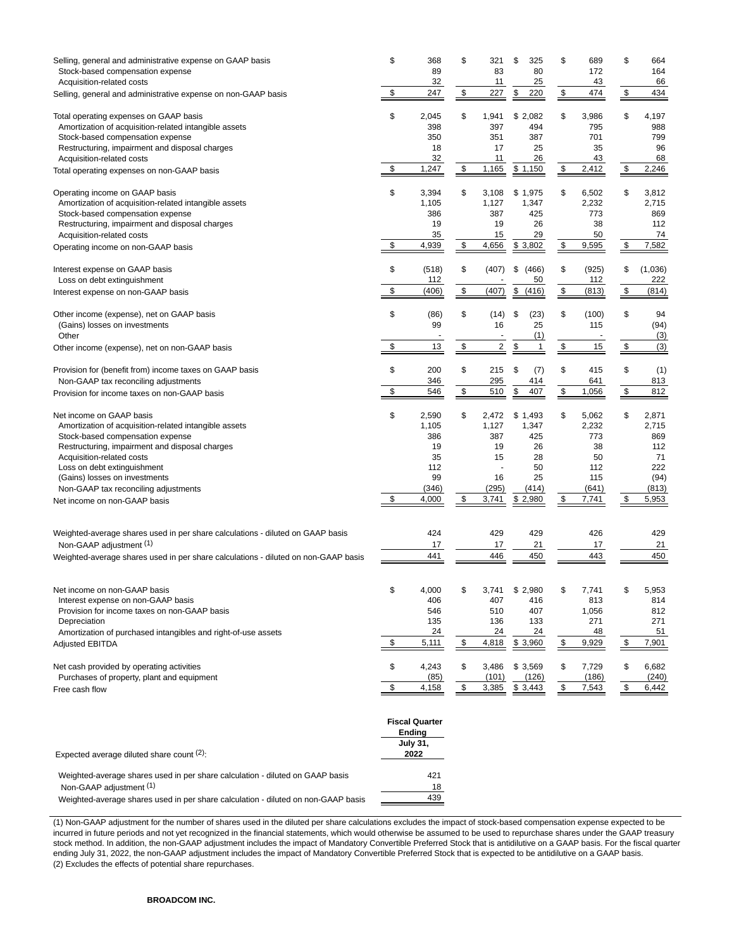| Selling, general and administrative expense on GAAP basis<br>Stock-based compensation expense<br>Acquisition-related costs                                                                                                                                                                                   | \$       | 368<br>89<br>32                                         | \$       | 321<br>83<br>11                                  | \$                  | 325<br>80<br>25                                          | \$                   | 689<br>172<br>43                                         | \$                      | 664<br>164<br>66                                           |
|--------------------------------------------------------------------------------------------------------------------------------------------------------------------------------------------------------------------------------------------------------------------------------------------------------------|----------|---------------------------------------------------------|----------|--------------------------------------------------|---------------------|----------------------------------------------------------|----------------------|----------------------------------------------------------|-------------------------|------------------------------------------------------------|
| Selling, general and administrative expense on non-GAAP basis                                                                                                                                                                                                                                                | \$       | 247                                                     | \$       | 227                                              | \$                  | 220                                                      | $\$$                 | 474                                                      | \$                      | 434                                                        |
| Total operating expenses on GAAP basis<br>Amortization of acquisition-related intangible assets<br>Stock-based compensation expense<br>Restructuring, impairment and disposal charges<br>Acquisition-related costs                                                                                           | \$       | 2,045<br>398<br>350<br>18<br>32                         | \$       | 1,941<br>397<br>351<br>17<br>11                  |                     | \$2,082<br>494<br>387<br>25<br>26                        | \$                   | 3,986<br>795<br>701<br>35<br>43                          | \$                      | 4,197<br>988<br>799<br>96<br>68                            |
| Total operating expenses on non-GAAP basis                                                                                                                                                                                                                                                                   | \$       | 1,247                                                   | \$       | 1,165                                            |                     | \$1,150                                                  | \$                   | 2,412                                                    | \$                      | 2,246                                                      |
| Operating income on GAAP basis<br>Amortization of acquisition-related intangible assets<br>Stock-based compensation expense<br>Restructuring, impairment and disposal charges<br>Acquisition-related costs                                                                                                   | \$       | 3,394<br>1,105<br>386<br>19<br>35                       | \$       | 3,108<br>1,127<br>387<br>19<br>15                |                     | \$1,975<br>1,347<br>425<br>26<br>29                      | \$                   | 6,502<br>2,232<br>773<br>38<br>50                        | \$                      | 3,812<br>2,715<br>869<br>112<br>74                         |
| Operating income on non-GAAP basis                                                                                                                                                                                                                                                                           | \$       | 4,939                                                   | \$       | 4,656                                            |                     | \$3,802                                                  | \$                   | 9,595                                                    | \$                      | 7,582                                                      |
| Interest expense on GAAP basis<br>Loss on debt extinguishment<br>Interest expense on non-GAAP basis                                                                                                                                                                                                          | \$<br>\$ | (518)<br>112<br>(406)                                   | \$<br>\$ | (407)<br>(407)                                   | \$<br>$\frac{1}{2}$ | (466)<br>50<br>(416)                                     | \$<br>$$\mathbb{S}$$ | (925)<br>112<br>(813)                                    | \$<br>$\frac{1}{2}$     | (1,036)<br>222<br>(814)                                    |
| Other income (expense), net on GAAP basis<br>(Gains) losses on investments                                                                                                                                                                                                                                   | \$       | (86)<br>99                                              | \$       | (14)<br>16                                       | \$                  | (23)<br>25                                               | \$                   | (100)<br>115                                             | \$                      | 94<br>(94)                                                 |
| Other<br>Other income (expense), net on non-GAAP basis                                                                                                                                                                                                                                                       | \$       | 13                                                      | \$       | $\overline{\mathbf{c}}$                          | $\frac{1}{2}$       | (1)<br>$\mathbf{1}$                                      | $\frac{1}{2}$        | 15                                                       | $\sqrt[6]{\frac{2}{5}}$ | (3)<br>(3)                                                 |
| Provision for (benefit from) income taxes on GAAP basis<br>Non-GAAP tax reconciling adjustments                                                                                                                                                                                                              | \$       | 200<br>346                                              | \$       | 215<br>295                                       | \$                  | (7)<br>414                                               | \$                   | 415<br>641                                               | \$                      | (1)<br>813                                                 |
| Provision for income taxes on non-GAAP basis                                                                                                                                                                                                                                                                 | \$       | 546                                                     | \$       | 510                                              | \$                  | 407                                                      | \$                   | 1,056                                                    | \$                      | 812                                                        |
| Net income on GAAP basis<br>Amortization of acquisition-related intangible assets<br>Stock-based compensation expense<br>Restructuring, impairment and disposal charges<br>Acquisition-related costs<br>Loss on debt extinguishment<br>(Gains) losses on investments<br>Non-GAAP tax reconciling adjustments | \$       | 2,590<br>1,105<br>386<br>19<br>35<br>112<br>99<br>(346) | \$       | 2,472<br>1,127<br>387<br>19<br>15<br>16<br>(295) |                     | \$1,493<br>1,347<br>425<br>26<br>28<br>50<br>25<br>(414) | \$                   | 5,062<br>2,232<br>773<br>38<br>50<br>112<br>115<br>(641) | \$                      | 2,871<br>2,715<br>869<br>112<br>71<br>222<br>(94)<br>(813) |
| Net income on non-GAAP basis                                                                                                                                                                                                                                                                                 | \$       | 4,000                                                   | \$       | 3,741                                            |                     | \$2,980                                                  | \$                   | 7,741                                                    | \$                      | 5,953                                                      |
| Weighted-average shares used in per share calculations - diluted on GAAP basis<br>Non-GAAP adjustment (1)<br>Weighted-average shares used in per share calculations - diluted on non-GAAP basis                                                                                                              |          | 424<br>17<br>441                                        |          | 429<br>17<br>446                                 |                     | 429<br>21<br>450                                         |                      | 426<br>17<br>443                                         |                         | 429<br>21<br>450                                           |
| Net income on non-GAAP basis<br>Interest expense on non-GAAP basis<br>Provision for income taxes on non-GAAP basis<br>Depreciation<br>Amortization of purchased intangibles and right-of-use assets<br>Adjusted EBITDA                                                                                       | \$       | 4,000<br>406<br>546<br>135<br>24<br>5,111               | \$       | 3,741<br>407<br>510<br>136<br>24<br>4,818        |                     | 2,980<br>416<br>407<br>133<br>24<br>\$3,960              | \$                   | 7,741<br>813<br>1,056<br>271<br>48<br>9,929              | \$                      | 5,953<br>814<br>812<br>271<br>51<br>7,901                  |
| Net cash provided by operating activities<br>Purchases of property, plant and equipment                                                                                                                                                                                                                      | \$       | 4,243<br>(85)                                           | \$       | 3,486<br>(101)                                   |                     | \$3,569<br>(126)                                         | \$                   | 7,729<br>(186)                                           | \$                      | 6,682<br>(240)                                             |
| Free cash flow                                                                                                                                                                                                                                                                                               | \$       | 4,158<br><b>Fiscal Quarter</b><br>Ending                | \$       | 3,385                                            |                     | \$3,443                                                  | $\frac{1}{2}$        | 7,543                                                    | \$                      | 6,442                                                      |
| Expected average diluted share count (2):                                                                                                                                                                                                                                                                    |          | <b>July 31,</b><br>2022                                 |          |                                                  |                     |                                                          |                      |                                                          |                         |                                                            |
| Weighted-average shares used in per share calculation - diluted on GAAP basis<br>Non-GAAP adjustment (1)<br>Weighted-average shares used in per share calculation - diluted on non-GAAP basis                                                                                                                |          | 421<br>18<br>439                                        |          |                                                  |                     |                                                          |                      |                                                          |                         |                                                            |

(1) Non-GAAP adjustment for the number of shares used in the diluted per share calculations excludes the impact of stock-based compensation expense expected to be incurred in future periods and not yet recognized in the financial statements, which would otherwise be assumed to be used to repurchase shares under the GAAP treasury stock method. In addition, the non-GAAP adjustment includes the impact of Mandatory Convertible Preferred Stock that is antidilutive on a GAAP basis. For the fiscal quarter ending July 31, 2022, the non-GAAP adjustment includes the impact of Mandatory Convertible Preferred Stock that is expected to be antidilutive on a GAAP basis. (2) Excludes the effects of potential share repurchases.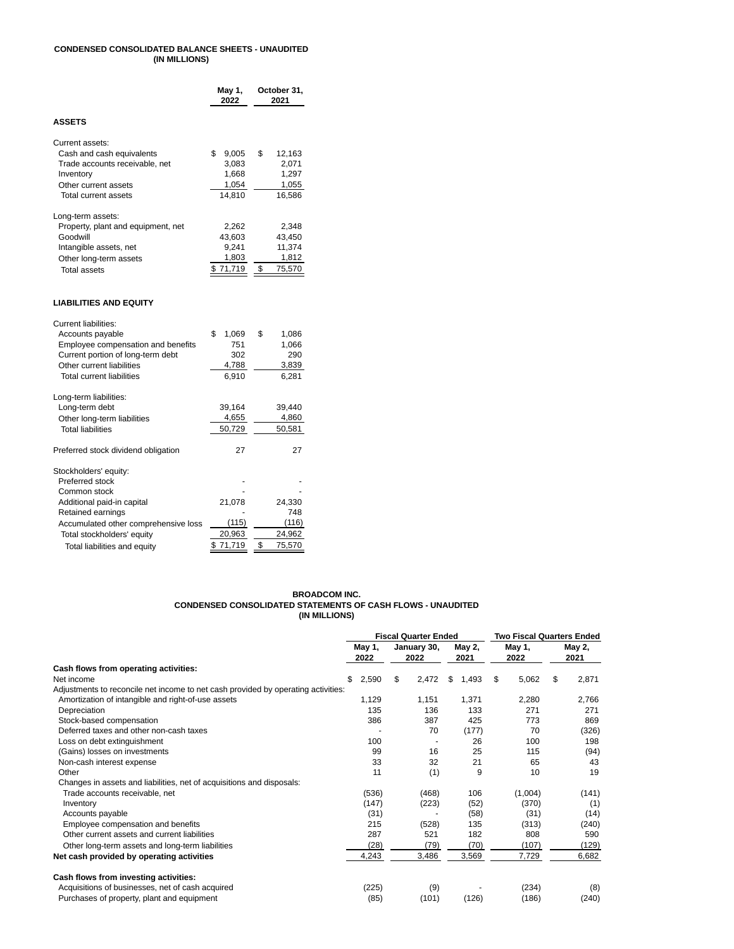### **CONDENSED CONSOLIDATED BALANCE SHEETS - UNAUDITED (IN MILLIONS)**

|                                                                                                                                                                                      | May 1,<br>2022                                   | October 31,<br>2021                                |
|--------------------------------------------------------------------------------------------------------------------------------------------------------------------------------------|--------------------------------------------------|----------------------------------------------------|
| <b>ASSETS</b>                                                                                                                                                                        |                                                  |                                                    |
| Current assets:<br>Cash and cash equivalents<br>Trade accounts receivable, net<br>Inventory<br>Other current assets<br><b>Total current assets</b>                                   | \$<br>9,005<br>3,083<br>1,668<br>1,054<br>14,810 | \$<br>12,163<br>2,071<br>1,297<br>1,055<br>16,586  |
| Long-term assets:<br>Property, plant and equipment, net<br>Goodwill<br>Intangible assets, net<br>Other long-term assets<br><b>Total assets</b>                                       | 2,262<br>43,603<br>9,241<br>1,803<br>71,719      | 2,348<br>43,450<br>11,374<br>1,812<br>75,570<br>\$ |
| <b>LIABILITIES AND EQUITY</b>                                                                                                                                                        |                                                  |                                                    |
| <b>Current liabilities:</b><br>Accounts payable<br>Employee compensation and benefits<br>Current portion of long-term debt<br>Other current liabilities<br>Total current liabilities | \$<br>1,069<br>751<br>302<br>4,788<br>6,910      | \$<br>1,086<br>1,066<br>290<br>3,839<br>6,281      |
| Long-term liabilities:<br>Long-term debt<br>Other long-term liabilities<br><b>Total liabilities</b>                                                                                  | 39,164<br>4,655<br>50,729                        | 39,440<br>4,860<br>50,581                          |
| Preferred stock dividend obligation                                                                                                                                                  | 27                                               | 27                                                 |
| Stockholders' equity:<br>Preferred stock<br>Common stock<br>Additional paid-in capital<br>Retained earnings                                                                          | 21,078                                           | 24,330<br>748                                      |
| Accumulated other comprehensive loss<br>Total stockholders' equity<br>Total liabilities and equity                                                                                   | (115)<br>20,963<br>71,719                        | (116)<br>24,962<br>\$<br>75,570                    |

#### **BROADCOM INC. CONDENSED CONSOLIDATED STATEMENTS OF CASH FLOWS - UNAUDITED (IN MILLIONS)**

|                                                                                   | <b>Fiscal Quarter Ended</b> |                |                     |       |   |                |                | <b>Two Fiscal Quarters Ended</b> |                |       |  |  |  |
|-----------------------------------------------------------------------------------|-----------------------------|----------------|---------------------|-------|---|----------------|----------------|----------------------------------|----------------|-------|--|--|--|
|                                                                                   |                             | May 1,<br>2022 | January 30,<br>2022 |       |   | May 2,<br>2021 | May 1,<br>2022 |                                  | May 2,<br>2021 |       |  |  |  |
| Cash flows from operating activities:                                             |                             |                |                     |       |   |                |                |                                  |                |       |  |  |  |
| Net income                                                                        | \$                          | 2,590          | \$                  | 2,472 | S | 1,493          | S              | 5,062                            | \$             | 2,871 |  |  |  |
| Adjustments to reconcile net income to net cash provided by operating activities: |                             |                |                     |       |   |                |                |                                  |                |       |  |  |  |
| Amortization of intangible and right-of-use assets                                |                             | 1,129          |                     | 1,151 |   | 1,371          |                | 2,280                            |                | 2,766 |  |  |  |
| Depreciation                                                                      |                             | 135            |                     | 136   |   | 133            |                | 271                              |                | 271   |  |  |  |
| Stock-based compensation                                                          |                             | 386            |                     | 387   |   | 425            |                | 773                              |                | 869   |  |  |  |
| Deferred taxes and other non-cash taxes                                           |                             |                |                     | 70    |   | (177)          |                | 70                               |                | (326) |  |  |  |
| Loss on debt extinguishment                                                       |                             | 100            |                     |       |   | 26             |                | 100                              |                | 198   |  |  |  |
| (Gains) losses on investments                                                     |                             | 99             |                     | 16    |   | 25             |                | 115                              |                | (94)  |  |  |  |
| Non-cash interest expense                                                         |                             | 33             |                     | 32    |   | 21             |                | 65                               |                | 43    |  |  |  |
| Other                                                                             |                             | 11             |                     | (1)   |   | 9              |                | 10                               |                | 19    |  |  |  |
| Changes in assets and liabilities, net of acquisitions and disposals:             |                             |                |                     |       |   |                |                |                                  |                |       |  |  |  |
| Trade accounts receivable, net                                                    |                             | (536)          |                     | (468) |   | 106            |                | (1,004)                          |                | (141) |  |  |  |
| Inventory                                                                         |                             | (147)          |                     | (223) |   | (52)           |                | (370)                            |                | (1)   |  |  |  |
| Accounts payable                                                                  |                             | (31)           |                     |       |   | (58)           |                | (31)                             |                | (14)  |  |  |  |
| Employee compensation and benefits                                                |                             | 215            |                     | (528) |   | 135            |                | (313)                            |                | (240) |  |  |  |
| Other current assets and current liabilities                                      |                             | 287            |                     | 521   |   | 182            |                | 808                              |                | 590   |  |  |  |
| Other long-term assets and long-term liabilities                                  |                             | (28)           |                     | (79)  |   | (70)           |                | (107)                            |                | (129) |  |  |  |
| Net cash provided by operating activities                                         |                             | 4,243          |                     | 3,486 |   | 3,569          |                | 7,729                            |                | 6,682 |  |  |  |
| Cash flows from investing activities:                                             |                             |                |                     |       |   |                |                |                                  |                |       |  |  |  |
| Acquisitions of businesses, net of cash acquired                                  |                             | (225)          |                     | (9)   |   |                |                | (234)                            |                | (8)   |  |  |  |
| Purchases of property, plant and equipment                                        |                             | (85)           |                     | (101) |   | (126)          |                | (186)                            |                | (240) |  |  |  |